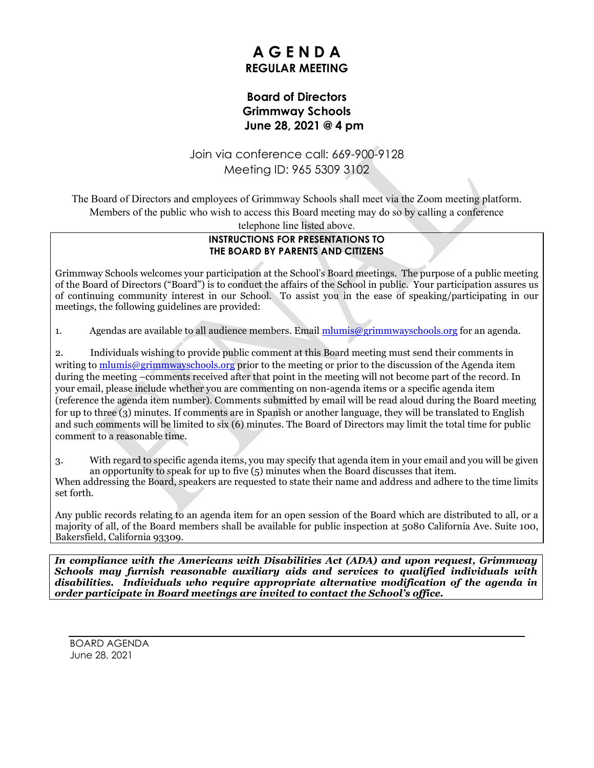# **A G E N D A REGULAR MEETING**

## **Board of Directors Grimmway Schools June 28, 2021 @ 4 pm**

## Join via conference call: 669-900-9128 Meeting ID: 965 5309 3102

The Board of Directors and employees of Grimmway Schools shall meet via the Zoom meeting platform. Members of the public who wish to access this Board meeting may do so by calling a conference telephone line listed above.

#### **INSTRUCTIONS FOR PRESENTATIONS TO THE BOARD BY PARENTS AND CITIZENS**

Grimmway Schools welcomes your participation at the School's Board meetings. The purpose of a public meeting of the Board of Directors ("Board") is to conduct the affairs of the School in public. Your participation assures us of continuing community interest in our School. To assist you in the ease of speaking/participating in our meetings, the following guidelines are provided:

1. Agendas are available to all audience members. Email [mlumis@grimmwayschools.org](mailto:mlumis@grimmwayschools.org) for an agenda.

2. Individuals wishing to provide public comment at this Board meeting must send their comments in writing to  $\frac{m \cdot m \cdot \hat{\omega}}{2 \cdot m \cdot m \cdot \hat{\omega}}$  are prior to the meeting or prior to the discussion of the Agenda item during the meeting –comments received after that point in the meeting will not become part of the record. In your email, please include whether you are commenting on non-agenda items or a specific agenda item (reference the agenda item number). Comments submitted by email will be read aloud during the Board meeting for up to three (3) minutes. If comments are in Spanish or another language, they will be translated to English and such comments will be limited to six (6) minutes. The Board of Directors may limit the total time for public comment to a reasonable time.

3. With regard to specific agenda items, you may specify that agenda item in your email and you will be given an opportunity to speak for up to five (5) minutes when the Board discusses that item. When addressing the Board, speakers are requested to state their name and address and adhere to the time limits set forth.

Any public records relating to an agenda item for an open session of the Board which are distributed to all, or a majority of all, of the Board members shall be available for public inspection at 5080 California Ave. Suite 100, Bakersfield, California 93309.

*In compliance with the Americans with Disabilities Act (ADA) and upon request, Grimmway Schools may furnish reasonable auxiliary aids and services to qualified individuals with disabilities. Individuals who require appropriate alternative modification of the agenda in order participate in Board meetings are invited to contact the School's office.*

BOARD AGENDA June 28, 2021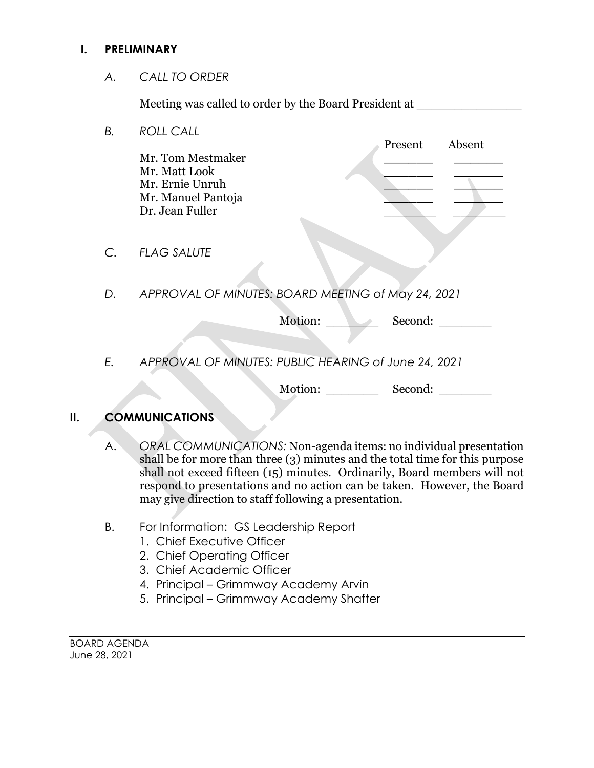#### **I. PRELIMINARY**

*A. CALL TO ORDER*

Meeting was called to order by the Board President at

*B. ROLL CALL* Present Absent Mr. Tom Mestmaker **\_\_\_\_\_\_ \_\_\_\_\_\_** Mr. Matt Look **\_\_\_\_\_\_ \_\_\_\_\_\_** Mr. Ernie Unruh **\_\_\_\_\_\_ \_\_\_\_\_\_** Mr. Manuel Pantoja **\_\_\_\_\_\_ \_\_\_\_\_\_** Dr. Jean Fuller *C. FLAG SALUTE D. APPROVAL OF MINUTES: BOARD MEETING of May 24, 2021*  Motion: Second: \_\_\_\_\_\_\_ *E. APPROVAL OF MINUTES: PUBLIC HEARING of June 24, 2021*  Motion: Second:

## **II. COMMUNICATIONS**

- A. *ORAL COMMUNICATIONS:* Non-agenda items: no individual presentation shall be for more than three (3) minutes and the total time for this purpose shall not exceed fifteen (15) minutes. Ordinarily, Board members will not respond to presentations and no action can be taken. However, the Board may give direction to staff following a presentation.
- B. For Information: GS Leadership Report
	- 1. Chief Executive Officer
	- 2. Chief Operating Officer
	- 3. Chief Academic Officer
	- 4. Principal Grimmway Academy Arvin
	- 5. Principal Grimmway Academy Shafter

BOARD AGENDA June 28, 2021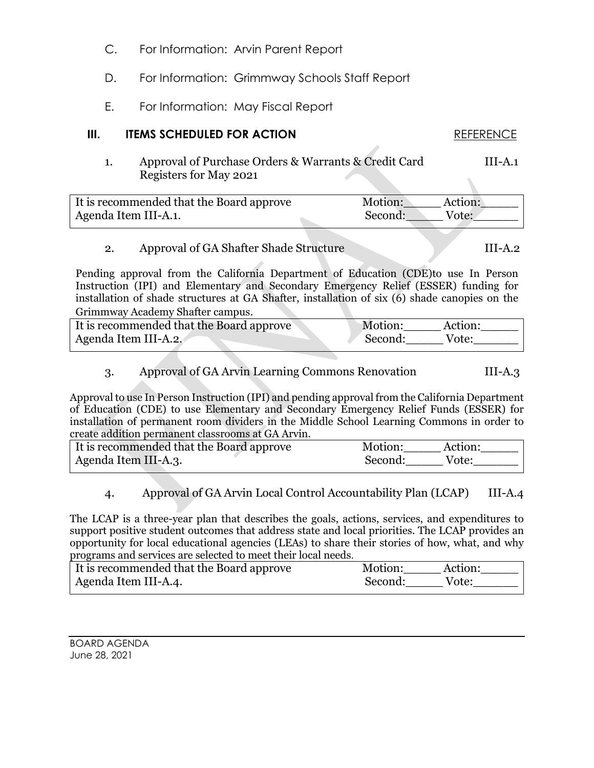- C. For Information: Arvin Parent Report
- D. For Information: Grimmway Schools Staff Report
- E. For Information: May Fiscal Report

#### **III. ITEMS SCHEDULED FOR ACTION REFERENCE**

1. Approval of Purchase Orders & Warrants & Credit Card III-A.1 Registers for May 2021

| It is recommended that the Board approve | Motion: | Action: |
|------------------------------------------|---------|---------|
| Agenda Item III-A.1.                     | Second: | Vote:   |

## 2. Approval of GA Shafter Shade Structure III-A.2

Pending approval from the California Department of Education (CDE)to use In Person Instruction (IPI) and Elementary and Secondary Emergency Relief (ESSER) funding for installation of shade structures at GA Shafter, installation of six (6) shade canopies on the Grimmway Academy Shafter campus.

| It is recommended that the Board approve | Motion: | Action: |
|------------------------------------------|---------|---------|
| Agenda Item III-A.2.                     | Second: | Vote:   |

## 3. Approval of GA Arvin Learning Commons Renovation III-A.3

Approval to use In Person Instruction (IPI) and pending approval from the California Department of Education (CDE) to use Elementary and Secondary Emergency Relief Funds (ESSER) for installation of permanent room dividers in the Middle School Learning Commons in order to create addition permanent classrooms at GA Arvin.

| It is recommended that the Board approve | Motion:<br>Action: |  |
|------------------------------------------|--------------------|--|
| Agenda Item III-A.3.                     | Second:<br>Vote:   |  |

#### 4. Approval of GA Arvin Local Control Accountability Plan (LCAP) III-A.4

The LCAP is a three-year plan that describes the goals, actions, services, and expenditures to support positive student outcomes that address state and local priorities. The LCAP provides an opportunity for local educational agencies (LEAs) to share their stories of how, what, and why programs and services are selected to meet their local needs.

| It is recommended that the Board approve | Motion:<br>Action: |
|------------------------------------------|--------------------|
| Agenda Item III-A.4.                     | Second:<br>Vote:   |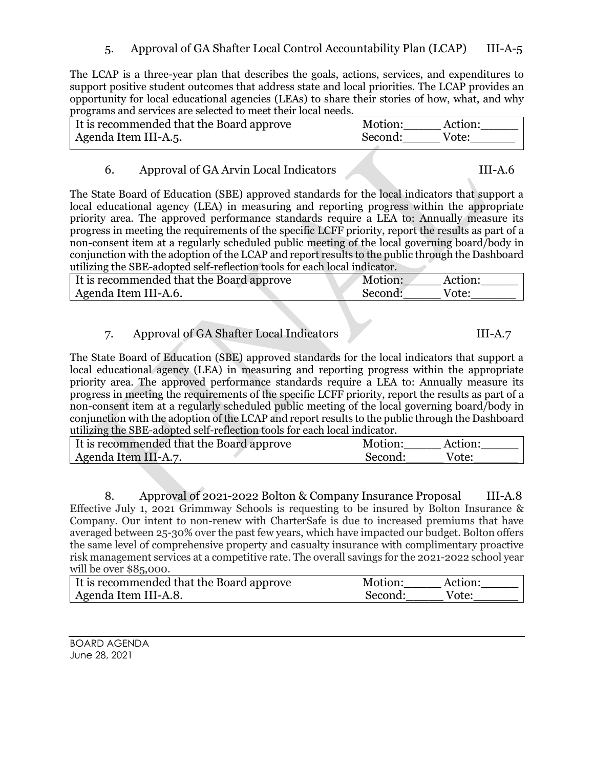5. Approval of GA Shafter Local Control Accountability Plan (LCAP) III-A-5

The LCAP is a three-year plan that describes the goals, actions, services, and expenditures to support positive student outcomes that address state and local priorities. The LCAP provides an opportunity for local educational agencies (LEAs) to share their stories of how, what, and why programs and services are selected to meet their local needs.

| It is recommended that the Board approve | Motion: | Action: |
|------------------------------------------|---------|---------|
| Agenda Item III-A.5.                     | Second: | Vote:   |

## 6. Approval of GA Arvin Local Indicators III-A.6

The State Board of Education (SBE) approved standards for the local indicators that support a local educational agency (LEA) in measuring and reporting progress within the appropriate priority area. The approved performance standards require a LEA to: Annually measure its progress in meeting the requirements of the specific LCFF priority, report the results as part of a non-consent item at a regularly scheduled public meeting of the local governing board/body in conjunction with the adoption of the LCAP and report results to the public through the Dashboard utilizing the SBE-adopted self-reflection tools for each local indicator.

| It is recommended that the Board approve | Motion: | Action: |
|------------------------------------------|---------|---------|
| Agenda Item III-A.6.                     | Second: | Vote:   |

# 7. Approval of GA Shafter Local Indicators III-A.7

The State Board of Education (SBE) approved standards for the local indicators that support a local educational agency (LEA) in measuring and reporting progress within the appropriate priority area. The approved performance standards require a LEA to: Annually measure its progress in meeting the requirements of the specific LCFF priority, report the results as part of a non-consent item at a regularly scheduled public meeting of the local governing board/body in conjunction with the adoption of the LCAP and report results to the public through the Dashboard utilizing the SBE-adopted self-reflection tools for each local indicator.

| It is recommended that the Board approve | Motion: | Action <sup>.</sup> |
|------------------------------------------|---------|---------------------|
| Agenda Item III-A.7.                     | Second: | Vote:               |

8. Approval of 2021-2022 Bolton & Company Insurance Proposal III-A.8 Effective July 1, 2021 Grimmway Schools is requesting to be insured by Bolton Insurance & Company. Our intent to non-renew with CharterSafe is due to increased premiums that have averaged between 25-30% over the past few years, which have impacted our budget. Bolton offers the same level of comprehensive property and casualty insurance with complimentary proactive risk management services at a competitive rate. The overall savings for the 2021-2022 school year will be over \$85,000.

| If is recommended that the Board approve | Motion:<br>Action <sup>.</sup> |  |
|------------------------------------------|--------------------------------|--|
| Agenda Item III-A.8.                     | Second:<br>Vote:               |  |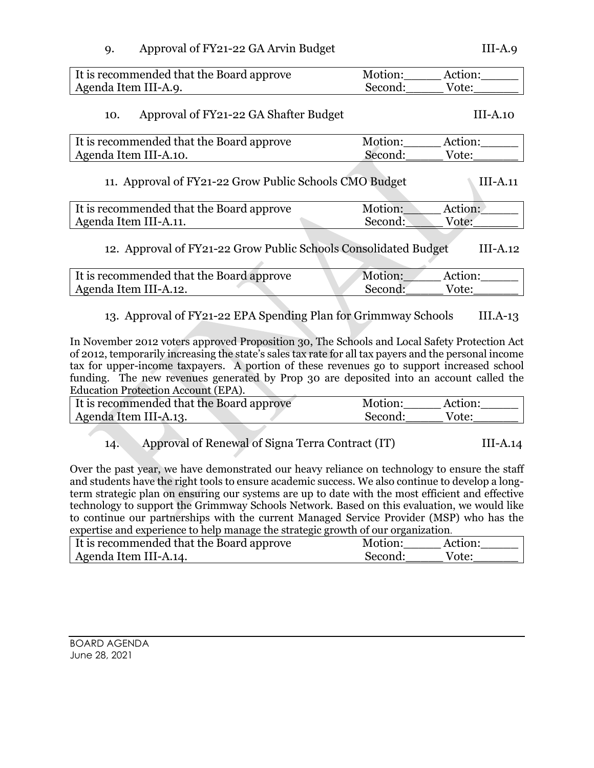| Approval of FY21-22 GA Arvin Budget | $III-A.9$ |
|-------------------------------------|-----------|
|                                     |           |

It is recommended that the Board approve Motion: Motion: Action: Agenda Item III-A.9. Second: Vote: 10. Approval of FY21-22 GA Shafter Budget III-A.10 It is recommended that the Board approve Motion: Action: Agenda Item III-A.10. Second: Second: Vote: 11. Approval of FY21-22 Grow Public Schools CMO Budget III-A.11 It is recommended that the Board approve Motion: Action: Agenda Item III-A.11. Second: Vote: 12. Approval of FY21-22 Grow Public Schools Consolidated Budget III-A.12 It is recommended that the Board approve Motion: Action: Agenda Item III-A.12. Second: Vote: 13. Approval of FY21-22 EPA Spending Plan for Grimmway Schools III.A-13

In November 2012 voters approved Proposition 30, The Schools and Local Safety Protection Act of 2012, temporarily increasing the state's sales tax rate for all tax payers and the personal income tax for upper-income taxpayers. A portion of these revenues go to support increased school funding. The new revenues generated by Prop 30 are deposited into an account called the Education Protection Account (EPA).

| It is recommended that the Board approve | Motion:<br>Action: |
|------------------------------------------|--------------------|
| Agenda Item III-A.13.                    | Second:<br>Vote:   |

| Approval of Renewal of Signa Terra Contract (IT) | $III-A.14$ |
|--------------------------------------------------|------------|
|                                                  |            |

Over the past year, we have demonstrated our heavy reliance on technology to ensure the staff and students have the right tools to ensure academic success. We also continue to develop a longterm strategic plan on ensuring our systems are up to date with the most efficient and effective technology to support the Grimmway Schools Network. Based on this evaluation, we would like to continue our partnerships with the current Managed Service Provider (MSP) who has the expertise and experience to help manage the strategic growth of our organization.

| It is recommended that the Board approve | Motion: | Action: |
|------------------------------------------|---------|---------|
| Agenda Item III-A.14.                    | Second: | Vote:   |

| BOARD AGENDA  |  |
|---------------|--|
| June 28, 2021 |  |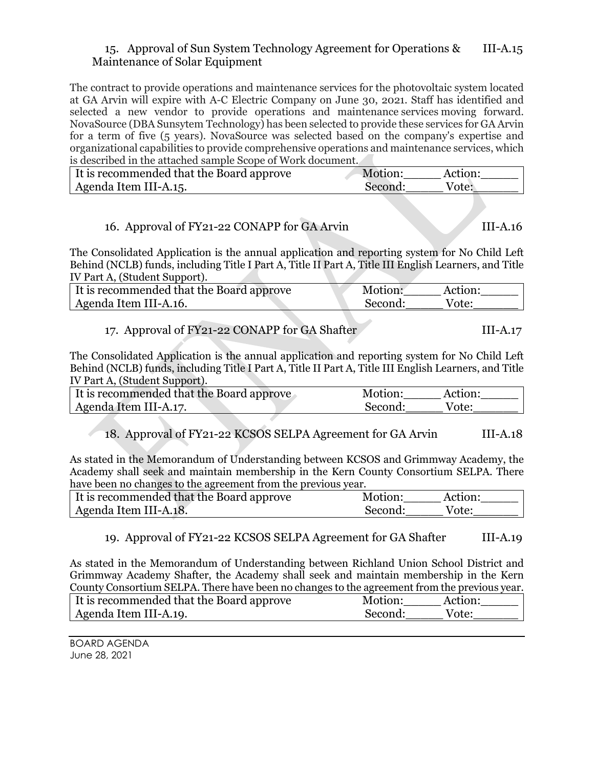#### 15. Approval of Sun System Technology Agreement for Operations & III-A.15 Maintenance of Solar Equipment

The contract to provide operations and maintenance services for the photovoltaic system located at GA Arvin will expire with A-C Electric Company on June 30, 2021. Staff has identified and selected a new vendor to provide operations and maintenance services moving forward. NovaSource (DBA Sunsytem Technology) has been selected to provide these services for GA Arvin for a term of five (5 years). NovaSource was selected based on the company's expertise and organizational capabilities to provide comprehensive operations and maintenance services, which is described in the attached sample Scope of Work document.

| It is recommended that the Board approve | Motion:<br>Action: |
|------------------------------------------|--------------------|
| Agenda Item III-A.15.                    | Vote:<br>Second:   |

## 16. Approval of FY21-22 CONAPP for GA Arvin III-A.16

The Consolidated Application is the annual application and reporting system for No Child Left Behind (NCLB) funds, including Title I Part A, Title II Part A, Title III English Learners, and Title IV Part A, (Student Support).

| It is recommended that the Board approve | Motion: | Action· |
|------------------------------------------|---------|---------|
| Agenda Item III-A.16.                    | Second: | Vote:   |

| 17. Approval of FY21-22 CONAPP for GA Shafter | $III-A.17$ |
|-----------------------------------------------|------------|
|-----------------------------------------------|------------|

The Consolidated Application is the annual application and reporting system for No Child Left Behind (NCLB) funds, including Title I Part A, Title II Part A, Title III English Learners, and Title IV Part A, (Student Support).

| It is recommended that the Board approve | Motion: | Action: |
|------------------------------------------|---------|---------|
| Agenda Item III-A.17.                    | Second: | Vote:   |

18. Approval of FY21-22 KCSOS SELPA Agreement for GA Arvin III-A.18

As stated in the Memorandum of Understanding between KCSOS and Grimmway Academy, the Academy shall seek and maintain membership in the Kern County Consortium SELPA. There have been no changes to the agreement from the previous year.

| If is recommended that the Board approve | Motion:<br>Action: |
|------------------------------------------|--------------------|
| Agenda Item III-A.18.                    | Second:<br>Vote:   |

#### 19. Approval of FY21-22 KCSOS SELPA Agreement for GA Shafter III-A.19

As stated in the Memorandum of Understanding between Richland Union School District and Grimmway Academy Shafter, the Academy shall seek and maintain membership in the Kern County Consortium SELPA. There have been no changes to the agreement from the previous year.

| It is recommended that the Board approve | Motion: | Action: |
|------------------------------------------|---------|---------|
| Agenda Item III-A.19.                    | Second: | Vote:   |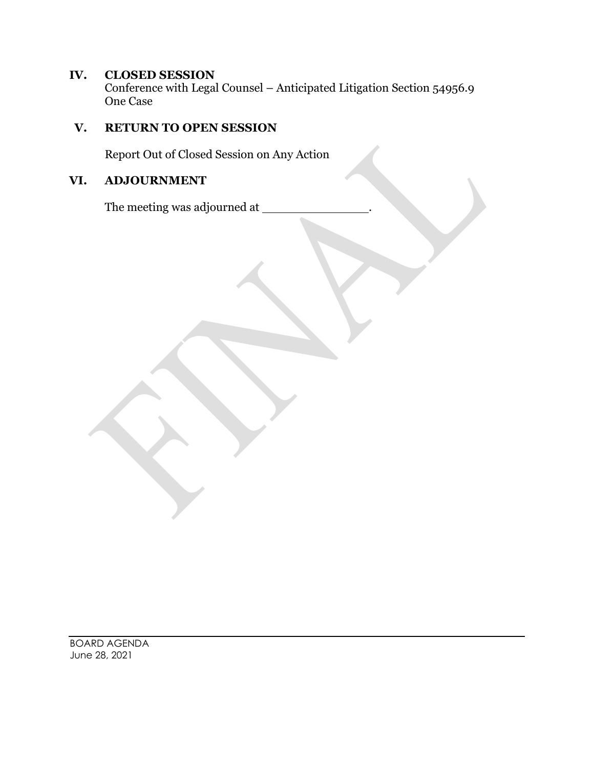## **IV. CLOSED SESSION**

Conference with Legal Counsel – Anticipated Litigation Section 54956.9 One Case

# **V. RETURN TO OPEN SESSION**

Report Out of Closed Session on Any Action

## **VI. ADJOURNMENT**

The meeting was adjourned at